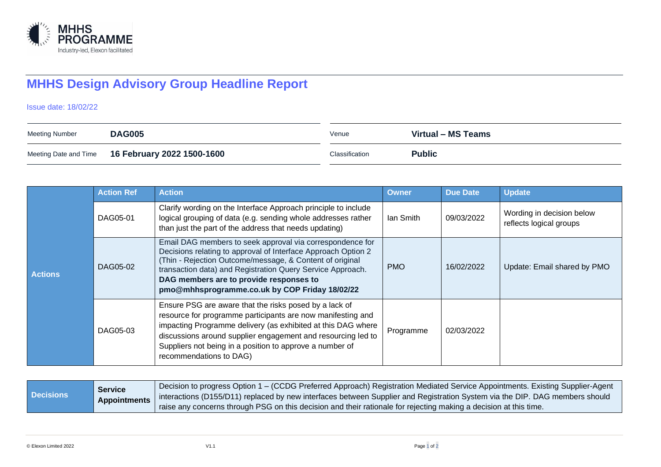

## **MHHS Design Advisory Group Headline Report**

Issue date: 18/02/22

| Meeting Number | <b>DAG005</b>                                    | Venue          | Virtual – MS Teams |
|----------------|--------------------------------------------------|----------------|--------------------|
|                | Meeting Date and Time 16 February 2022 1500-1600 | Classification | <b>Public</b>      |

|                | <b>Action Ref</b> | <b>Action</b>                                                                                                                                                                                                                                                                                                                                     | <b>Owner</b> | <b>Due Date</b> | <b>Update</b>                                        |
|----------------|-------------------|---------------------------------------------------------------------------------------------------------------------------------------------------------------------------------------------------------------------------------------------------------------------------------------------------------------------------------------------------|--------------|-----------------|------------------------------------------------------|
| <b>Actions</b> | DAG05-01          | Clarify wording on the Interface Approach principle to include<br>logical grouping of data (e.g. sending whole addresses rather<br>than just the part of the address that needs updating)                                                                                                                                                         | lan Smith    | 09/03/2022      | Wording in decision below<br>reflects logical groups |
|                | DAG05-02          | Email DAG members to seek approval via correspondence for<br>Decisions relating to approval of Interface Approach Option 2<br>(Thin - Rejection Outcome/message, & Content of original<br>transaction data) and Registration Query Service Approach.<br>DAG members are to provide responses to<br>pmo@mhhsprogramme.co.uk by COP Friday 18/02/22 | <b>PMO</b>   | 16/02/2022      | Update: Email shared by PMO                          |
|                | DAG05-03          | Ensure PSG are aware that the risks posed by a lack of<br>resource for programme participants are now manifesting and<br>impacting Programme delivery (as exhibited at this DAG where<br>discussions around supplier engagement and resourcing led to<br>Suppliers not being in a position to approve a number of<br>recommendations to DAG)      | Programme    | 02/03/2022      |                                                      |

| <b>Decisions</b> | <b>Service</b> | Decision to progress Option 1 – (CCDG Preferred Approach) Registration Mediated Service Appointments. Existing Supplier-Agent<br>Appointments   interactions (D155/D11) replaced by new interfaces between Supplier and Registration System via the DIP. DAG members should<br>I raise any concerns through PSG on this decision and their rationale for rejecting making a decision at this time. |
|------------------|----------------|----------------------------------------------------------------------------------------------------------------------------------------------------------------------------------------------------------------------------------------------------------------------------------------------------------------------------------------------------------------------------------------------------|
|------------------|----------------|----------------------------------------------------------------------------------------------------------------------------------------------------------------------------------------------------------------------------------------------------------------------------------------------------------------------------------------------------------------------------------------------------|